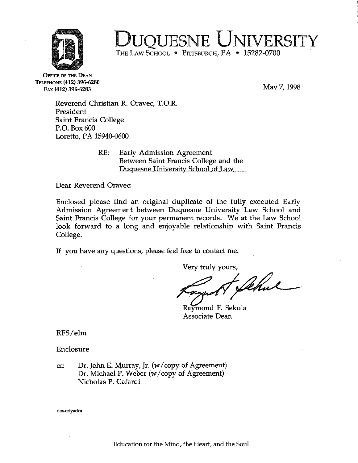

## OUESNE UNIVERSITY

THE LAW SCHOOL . PITTSBURGH, PA . 15282-0700

OFFICE OF THE DEAN TELEPHONE (412) 396-6280 FAX (412) 396-6283

May 7,1998

Reverend Christian R. Oravec, T.O.R. President Saint Francis College P.O. Box 600 Loretto, PA 15940-0600

> RE: Early Admission Agreement Between Saint Francis College and the Duquesne University School of Law

Dear Reverend Oravec:

Enclosed please find an original duplicate of the fully executed Early Admission Agreement between Duquesne University Law School and Saint Francis College for your permanent records. We at the Law School look forward to a long and enjoyable relationship with Saint Francis College.

If you have any questions, please feel free to contact me.

Very truly yours,

Raymond F. Sekula Associate Dean

RFS/elm

Enclosure

cc: Dr. John E. Murray, Jr. (w/copy of Agreement) Dr. Michael P. Weber (w/copy of Agreement) Nicholas P. Cafardi

dos.erlyadm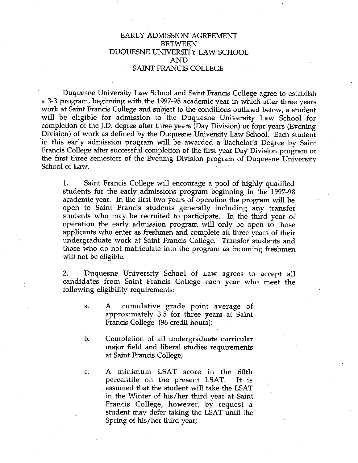## EARLY ADMISSION AGREEMENT BETWEEN DUQUESNE UNIVERSITY LAW SCHOOL AND SAINT FRANCIS COLLEGE

Duquesne University Law School and Saint Francis College agree to establish a 3-3 program, beginning with the 1997-98 academic year in which after three years work at Saint Francis College and subject to the conditions outlined below, a student will be eligible for admission to the Duquesne University Law School for completion of the J.D. degree after three years (Day Division) or four years (Evening Division) of work as defined by the Duquesne University Law School. Each student in this early admission program will be awarded a Bachelor's Degree by Saint Francis College after successful completion of the first year Day Division program or the first three semesters of the Evening Division program of Duquesne University School of Law.

1. Saint Francis College will encourage a pool of highly qualified students for the early admissions program beginning in the 1997-98 academic year. In the first two years of operation the program will be open to Saint Francis students generally including any transfer students who may be recruited to participate. In the third year of operation the early admission program will only be open to those applicants who enter as freshmen and complete all three years of their undergraduate work at Saint Francis College. Transfer students and those who do not matriculate into the program as incoming freshmen will not be eligible.

2. Duquesne University School of Law agrees to accept all candidates from Saint Francis College each year who meet the following eligibility requirements:

- a. A. cumulative grade point average of approximately 3.5 for three years at Saint Francis College (96 credit hours);
- b. Completion of all undergraduate curricular major field and liberal studies requirements at Saint Francis College;
- c. A minimum LSAT score in the 60th percentile on the present LSAT. It is assumed that the student will take the LSAT in the Winter of his/her third year at Saint Francis College, however, by request a student may defer taking the LSAT until the Spring of his/her third year;